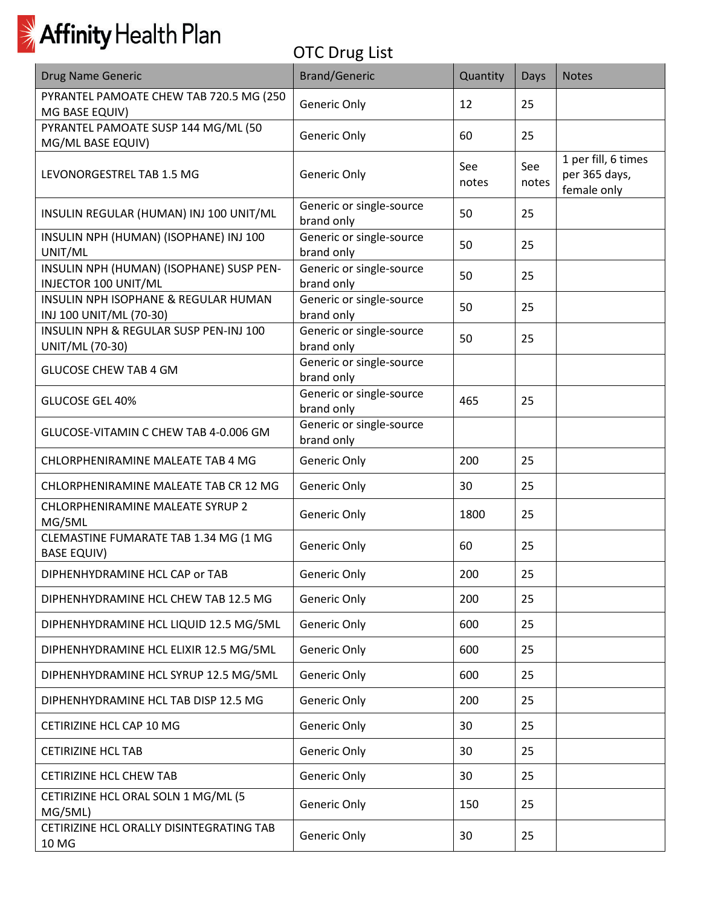| <b>Drug Name Generic</b>                                         | <b>Brand/Generic</b>                   | Quantity     | Days         | <b>Notes</b>                                        |
|------------------------------------------------------------------|----------------------------------------|--------------|--------------|-----------------------------------------------------|
| PYRANTEL PAMOATE CHEW TAB 720.5 MG (250<br>MG BASE EQUIV)        | Generic Only                           | 12           | 25           |                                                     |
| PYRANTEL PAMOATE SUSP 144 MG/ML (50<br>MG/ML BASE EQUIV)         | Generic Only                           | 60           | 25           |                                                     |
| LEVONORGESTREL TAB 1.5 MG                                        | Generic Only                           | See<br>notes | See<br>notes | 1 per fill, 6 times<br>per 365 days,<br>female only |
| INSULIN REGULAR (HUMAN) INJ 100 UNIT/ML                          | Generic or single-source<br>brand only | 50           | 25           |                                                     |
| INSULIN NPH (HUMAN) (ISOPHANE) INJ 100<br>UNIT/ML                | Generic or single-source<br>brand only | 50           | 25           |                                                     |
| INSULIN NPH (HUMAN) (ISOPHANE) SUSP PEN-<br>INJECTOR 100 UNIT/ML | Generic or single-source<br>brand only | 50           | 25           |                                                     |
| INSULIN NPH ISOPHANE & REGULAR HUMAN<br>INJ 100 UNIT/ML (70-30)  | Generic or single-source<br>brand only | 50           | 25           |                                                     |
| INSULIN NPH & REGULAR SUSP PEN-INJ 100<br>UNIT/ML (70-30)        | Generic or single-source<br>brand only | 50           | 25           |                                                     |
| <b>GLUCOSE CHEW TAB 4 GM</b>                                     | Generic or single-source<br>brand only |              |              |                                                     |
| <b>GLUCOSE GEL 40%</b>                                           | Generic or single-source<br>brand only | 465          | 25           |                                                     |
| GLUCOSE-VITAMIN C CHEW TAB 4-0.006 GM                            | Generic or single-source<br>brand only |              |              |                                                     |
| CHLORPHENIRAMINE MALEATE TAB 4 MG                                | Generic Only                           | 200          | 25           |                                                     |
| CHLORPHENIRAMINE MALEATE TAB CR 12 MG                            | Generic Only                           | 30           | 25           |                                                     |
| CHLORPHENIRAMINE MALEATE SYRUP 2<br>MG/5ML                       | Generic Only                           | 1800         | 25           |                                                     |
| CLEMASTINE FUMARATE TAB 1.34 MG (1 MG<br><b>BASE EQUIV)</b>      | Generic Only                           | 60           | 25           |                                                     |
| DIPHENHYDRAMINE HCL CAP or TAB                                   | Generic Only                           | 200          | 25           |                                                     |
| DIPHENHYDRAMINE HCL CHEW TAB 12.5 MG                             | Generic Only                           | 200          | 25           |                                                     |
| DIPHENHYDRAMINE HCL LIQUID 12.5 MG/5ML                           | Generic Only                           | 600          | 25           |                                                     |
| DIPHENHYDRAMINE HCL ELIXIR 12.5 MG/5ML                           | Generic Only                           | 600          | 25           |                                                     |
| DIPHENHYDRAMINE HCL SYRUP 12.5 MG/5ML                            | Generic Only                           | 600          | 25           |                                                     |
| DIPHENHYDRAMINE HCL TAB DISP 12.5 MG                             | Generic Only                           | 200          | 25           |                                                     |
| CETIRIZINE HCL CAP 10 MG                                         | Generic Only                           | 30           | 25           |                                                     |
| <b>CETIRIZINE HCL TAB</b>                                        | Generic Only                           | 30           | 25           |                                                     |
| <b>CETIRIZINE HCL CHEW TAB</b>                                   | Generic Only                           | 30           | 25           |                                                     |
| CETIRIZINE HCL ORAL SOLN 1 MG/ML (5<br>MG/5ML)                   | Generic Only                           | 150          | 25           |                                                     |
| CETIRIZINE HCL ORALLY DISINTEGRATING TAB<br>10 MG                | Generic Only                           | 30           | 25           |                                                     |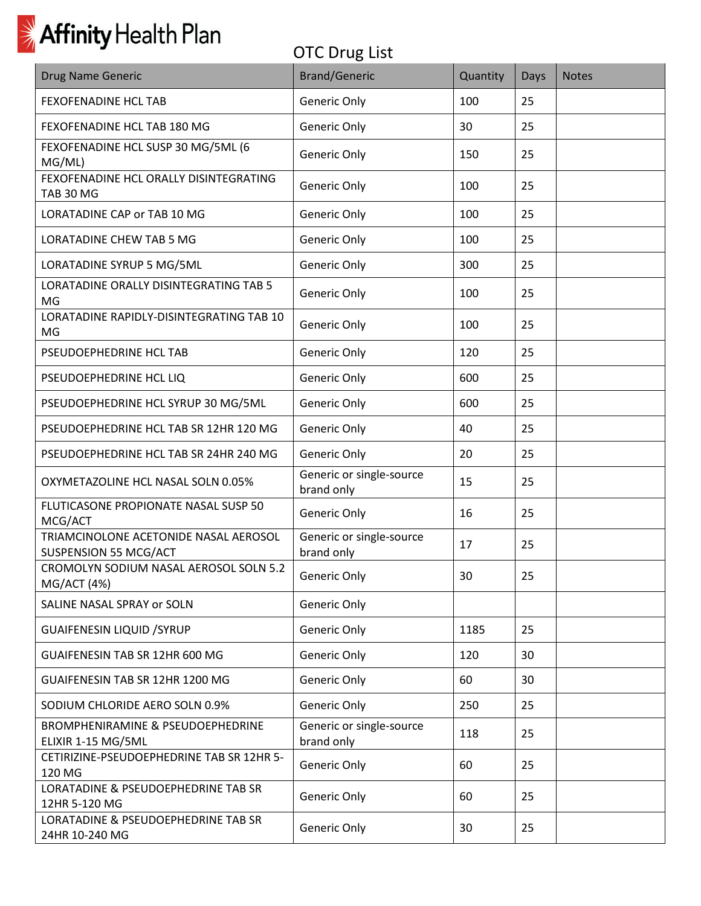| Drug Name Generic                                                  | <b>Brand/Generic</b>                   | Quantity | Days | <b>Notes</b> |
|--------------------------------------------------------------------|----------------------------------------|----------|------|--------------|
| <b>FEXOFENADINE HCL TAB</b>                                        | Generic Only                           | 100      | 25   |              |
| FEXOFENADINE HCL TAB 180 MG                                        | Generic Only                           | 30       | 25   |              |
| FEXOFENADINE HCL SUSP 30 MG/5ML (6<br>MG/ML)                       | Generic Only                           | 150      | 25   |              |
| FEXOFENADINE HCL ORALLY DISINTEGRATING<br><b>TAB 30 MG</b>         | Generic Only                           | 100      | 25   |              |
| <b>LORATADINE CAP or TAB 10 MG</b>                                 | Generic Only                           | 100      | 25   |              |
| LORATADINE CHEW TAB 5 MG                                           | Generic Only                           | 100      | 25   |              |
| LORATADINE SYRUP 5 MG/5ML                                          | Generic Only                           | 300      | 25   |              |
| LORATADINE ORALLY DISINTEGRATING TAB 5<br>MG                       | Generic Only                           | 100      | 25   |              |
| LORATADINE RAPIDLY-DISINTEGRATING TAB 10<br>MG                     | Generic Only                           | 100      | 25   |              |
| PSEUDOEPHEDRINE HCL TAB                                            | Generic Only                           | 120      | 25   |              |
| PSEUDOEPHEDRINE HCL LIQ                                            | Generic Only                           | 600      | 25   |              |
| PSEUDOEPHEDRINE HCL SYRUP 30 MG/5ML                                | Generic Only                           | 600      | 25   |              |
| PSEUDOEPHEDRINE HCL TAB SR 12HR 120 MG                             | Generic Only                           | 40       | 25   |              |
| PSEUDOEPHEDRINE HCL TAB SR 24HR 240 MG                             | Generic Only                           | 20       | 25   |              |
| OXYMETAZOLINE HCL NASAL SOLN 0.05%                                 | Generic or single-source<br>brand only | 15       | 25   |              |
| FLUTICASONE PROPIONATE NASAL SUSP 50<br>MCG/ACT                    | Generic Only                           | 16       | 25   |              |
| TRIAMCINOLONE ACETONIDE NASAL AEROSOL<br>SUSPENSION 55 MCG/ACT     | Generic or single-source<br>brand only | 17       | 25   |              |
| CROMOLYN SODIUM NASAL AEROSOL SOLN 5.2<br>MG/ACT (4%)              | Generic Only                           | 30       | 25   |              |
| SALINE NASAL SPRAY or SOLN                                         | Generic Only                           |          |      |              |
| <b>GUAIFENESIN LIQUID / SYRUP</b>                                  | Generic Only                           | 1185     | 25   |              |
| GUAIFENESIN TAB SR 12HR 600 MG                                     | Generic Only                           | 120      | 30   |              |
| GUAIFENESIN TAB SR 12HR 1200 MG                                    | Generic Only                           | 60       | 30   |              |
| SODIUM CHLORIDE AERO SOLN 0.9%                                     | Generic Only                           | 250      | 25   |              |
| <b>BROMPHENIRAMINE &amp; PSEUDOEPHEDRINE</b><br>ELIXIR 1-15 MG/5ML | Generic or single-source<br>brand only | 118      | 25   |              |
| CETIRIZINE-PSEUDOEPHEDRINE TAB SR 12HR 5-<br>120 MG                | Generic Only                           | 60       | 25   |              |
| LORATADINE & PSEUDOEPHEDRINE TAB SR<br>12HR 5-120 MG               | Generic Only                           | 60       | 25   |              |
| LORATADINE & PSEUDOEPHEDRINE TAB SR<br>24HR 10-240 MG              | Generic Only                           | 30       | 25   |              |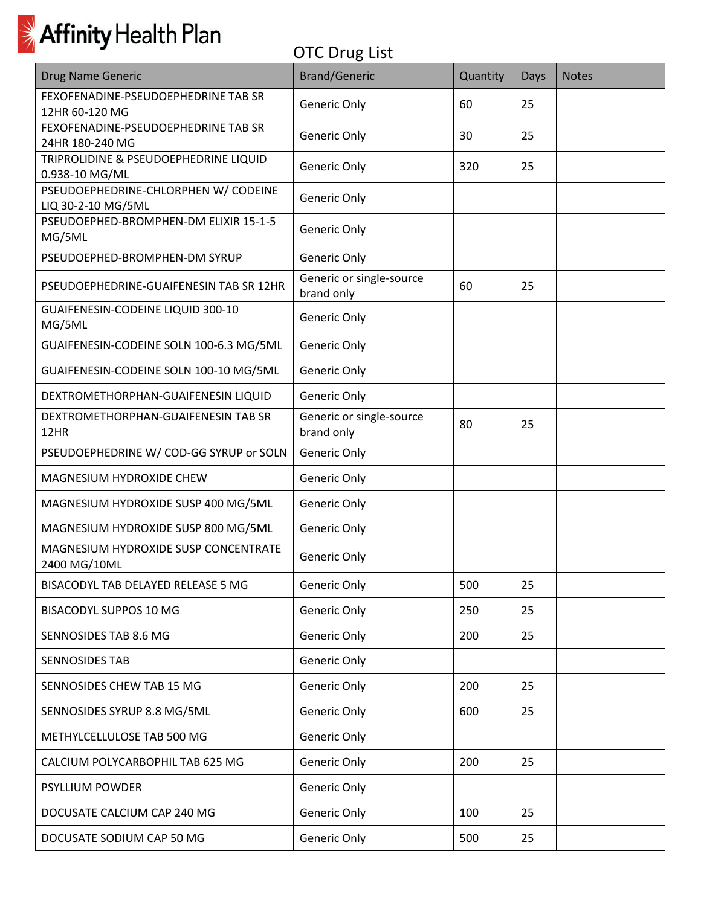

| <b>Drug Name Generic</b>                                   | <b>Brand/Generic</b>                   | Quantity | <b>Days</b> | <b>Notes</b> |
|------------------------------------------------------------|----------------------------------------|----------|-------------|--------------|
| FEXOFENADINE-PSEUDOEPHEDRINE TAB SR<br>12HR 60-120 MG      | Generic Only                           | 60       | 25          |              |
| FEXOFENADINE-PSEUDOEPHEDRINE TAB SR<br>24HR 180-240 MG     | Generic Only                           | 30       | 25          |              |
| TRIPROLIDINE & PSEUDOEPHEDRINE LIQUID<br>0.938-10 MG/ML    | Generic Only                           | 320      | 25          |              |
| PSEUDOEPHEDRINE-CHLORPHEN W/ CODEINE<br>LIQ 30-2-10 MG/5ML | Generic Only                           |          |             |              |
| PSEUDOEPHED-BROMPHEN-DM ELIXIR 15-1-5<br>MG/5ML            | Generic Only                           |          |             |              |
| PSEUDOEPHED-BROMPHEN-DM SYRUP                              | Generic Only                           |          |             |              |
| PSEUDOEPHEDRINE-GUAIFENESIN TAB SR 12HR                    | Generic or single-source<br>brand only | 60       | 25          |              |
| GUAIFENESIN-CODEINE LIQUID 300-10<br>MG/5ML                | Generic Only                           |          |             |              |
| GUAIFENESIN-CODEINE SOLN 100-6.3 MG/5ML                    | Generic Only                           |          |             |              |
| GUAIFENESIN-CODEINE SOLN 100-10 MG/5ML                     | Generic Only                           |          |             |              |
| DEXTROMETHORPHAN-GUAIFENESIN LIQUID                        | Generic Only                           |          |             |              |
| DEXTROMETHORPHAN-GUAIFENESIN TAB SR<br>12HR                | Generic or single-source<br>brand only | 80       | 25          |              |
| PSEUDOEPHEDRINE W/ COD-GG SYRUP or SOLN                    | Generic Only                           |          |             |              |
| MAGNESIUM HYDROXIDE CHEW                                   | Generic Only                           |          |             |              |
| MAGNESIUM HYDROXIDE SUSP 400 MG/5ML                        | Generic Only                           |          |             |              |
| MAGNESIUM HYDROXIDE SUSP 800 MG/5ML                        | Generic Only                           |          |             |              |
| MAGNESIUM HYDROXIDE SUSP CONCENTRATE<br>2400 MG/10ML       | Generic Only                           |          |             |              |
| BISACODYL TAB DELAYED RELEASE 5 MG                         | Generic Only                           | 500      | 25          |              |
| <b>BISACODYL SUPPOS 10 MG</b>                              | Generic Only                           | 250      | 25          |              |
| SENNOSIDES TAB 8.6 MG                                      | Generic Only                           | 200      | 25          |              |
| <b>SENNOSIDES TAB</b>                                      | Generic Only                           |          |             |              |
| SENNOSIDES CHEW TAB 15 MG                                  | Generic Only                           | 200      | 25          |              |
| SENNOSIDES SYRUP 8.8 MG/5ML                                | Generic Only                           | 600      | 25          |              |
| METHYLCELLULOSE TAB 500 MG                                 | Generic Only                           |          |             |              |
| CALCIUM POLYCARBOPHIL TAB 625 MG                           | Generic Only                           | 200      | 25          |              |
| <b>PSYLLIUM POWDER</b>                                     | Generic Only                           |          |             |              |
| DOCUSATE CALCIUM CAP 240 MG                                | Generic Only                           | 100      | 25          |              |
| DOCUSATE SODIUM CAP 50 MG                                  | Generic Only                           | 500      | 25          |              |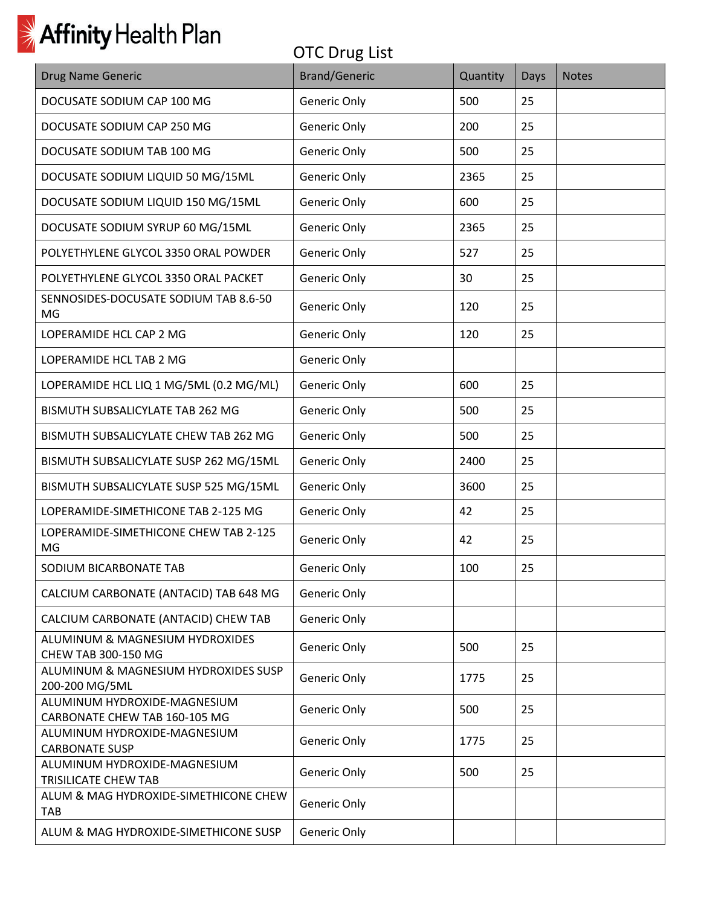| <b>Drug Name Generic</b>                                      | <b>Brand/Generic</b> | Quantity | Days | <b>Notes</b> |
|---------------------------------------------------------------|----------------------|----------|------|--------------|
| DOCUSATE SODIUM CAP 100 MG                                    | Generic Only         | 500      | 25   |              |
| DOCUSATE SODIUM CAP 250 MG                                    | Generic Only         | 200      | 25   |              |
| DOCUSATE SODIUM TAB 100 MG                                    | Generic Only         | 500      | 25   |              |
| DOCUSATE SODIUM LIQUID 50 MG/15ML                             | Generic Only         | 2365     | 25   |              |
| DOCUSATE SODIUM LIQUID 150 MG/15ML                            | Generic Only         | 600      | 25   |              |
| DOCUSATE SODIUM SYRUP 60 MG/15ML                              | Generic Only         | 2365     | 25   |              |
| POLYETHYLENE GLYCOL 3350 ORAL POWDER                          | Generic Only         | 527      | 25   |              |
| POLYETHYLENE GLYCOL 3350 ORAL PACKET                          | Generic Only         | 30       | 25   |              |
| SENNOSIDES-DOCUSATE SODIUM TAB 8.6-50<br>MG                   | Generic Only         | 120      | 25   |              |
| LOPERAMIDE HCL CAP 2 MG                                       | Generic Only         | 120      | 25   |              |
| LOPERAMIDE HCL TAB 2 MG                                       | Generic Only         |          |      |              |
| LOPERAMIDE HCL LIQ 1 MG/5ML (0.2 MG/ML)                       | Generic Only         | 600      | 25   |              |
| BISMUTH SUBSALICYLATE TAB 262 MG                              | Generic Only         | 500      | 25   |              |
| BISMUTH SUBSALICYLATE CHEW TAB 262 MG                         | Generic Only         | 500      | 25   |              |
| BISMUTH SUBSALICYLATE SUSP 262 MG/15ML                        | Generic Only         | 2400     | 25   |              |
| BISMUTH SUBSALICYLATE SUSP 525 MG/15ML                        | Generic Only         | 3600     | 25   |              |
| LOPERAMIDE-SIMETHICONE TAB 2-125 MG                           | Generic Only         | 42       | 25   |              |
| LOPERAMIDE-SIMETHICONE CHEW TAB 2-125<br>MG                   | Generic Only         | 42       | 25   |              |
| SODIUM BICARBONATE TAB                                        | Generic Only         | 100      | 25   |              |
| CALCIUM CARBONATE (ANTACID) TAB 648 MG                        | Generic Only         |          |      |              |
| CALCIUM CARBONATE (ANTACID) CHEW TAB                          | Generic Only         |          |      |              |
| ALUMINUM & MAGNESIUM HYDROXIDES<br>CHEW TAB 300-150 MG        | Generic Only         | 500      | 25   |              |
| ALUMINUM & MAGNESIUM HYDROXIDES SUSP<br>200-200 MG/5ML        | Generic Only         | 1775     | 25   |              |
| ALUMINUM HYDROXIDE-MAGNESIUM<br>CARBONATE CHEW TAB 160-105 MG | Generic Only         | 500      | 25   |              |
| ALUMINUM HYDROXIDE-MAGNESIUM<br><b>CARBONATE SUSP</b>         | Generic Only         | 1775     | 25   |              |
| ALUMINUM HYDROXIDE-MAGNESIUM<br>TRISILICATE CHEW TAB          | Generic Only         | 500      | 25   |              |
| ALUM & MAG HYDROXIDE-SIMETHICONE CHEW<br><b>TAB</b>           | Generic Only         |          |      |              |
| ALUM & MAG HYDROXIDE-SIMETHICONE SUSP                         | Generic Only         |          |      |              |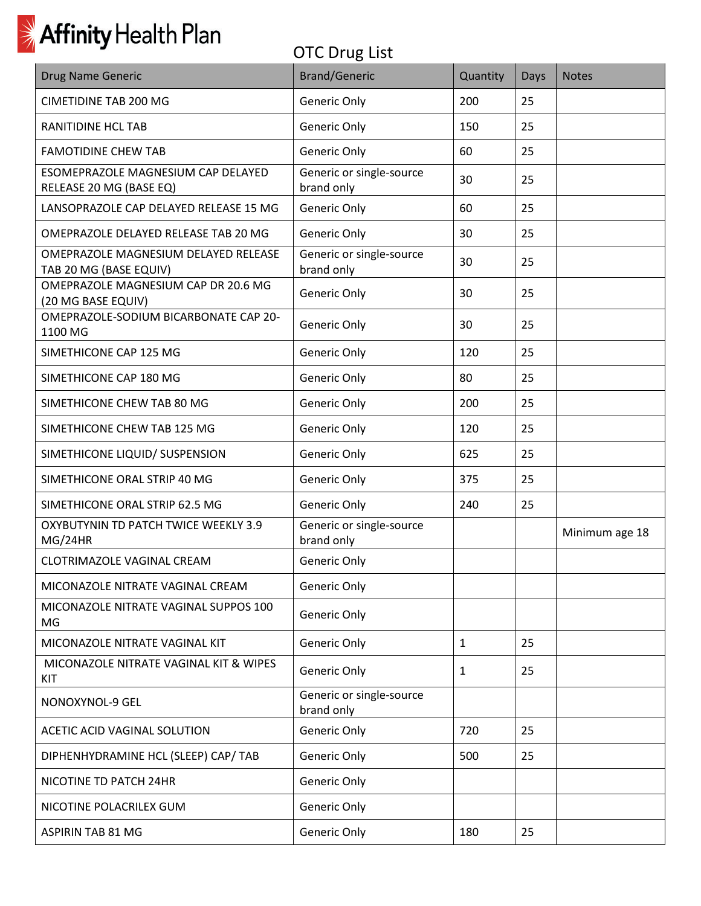

| <b>Drug Name Generic</b>                                       | <b>Brand/Generic</b>                   | Quantity     | <b>Days</b> | <b>Notes</b>   |
|----------------------------------------------------------------|----------------------------------------|--------------|-------------|----------------|
| <b>CIMETIDINE TAB 200 MG</b>                                   | Generic Only                           | 200          | 25          |                |
| RANITIDINE HCL TAB                                             | Generic Only                           | 150          | 25          |                |
| <b>FAMOTIDINE CHEW TAB</b>                                     | Generic Only                           | 60           | 25          |                |
| ESOMEPRAZOLE MAGNESIUM CAP DELAYED<br>RELEASE 20 MG (BASE EQ)  | Generic or single-source<br>brand only | 30           | 25          |                |
| LANSOPRAZOLE CAP DELAYED RELEASE 15 MG                         | Generic Only                           | 60           | 25          |                |
| OMEPRAZOLE DELAYED RELEASE TAB 20 MG                           | Generic Only                           | 30           | 25          |                |
| OMEPRAZOLE MAGNESIUM DELAYED RELEASE<br>TAB 20 MG (BASE EQUIV) | Generic or single-source<br>brand only | 30           | 25          |                |
| OMEPRAZOLE MAGNESIUM CAP DR 20.6 MG<br>(20 MG BASE EQUIV)      | Generic Only                           | 30           | 25          |                |
| OMEPRAZOLE-SODIUM BICARBONATE CAP 20-<br>1100 MG               | Generic Only                           | 30           | 25          |                |
| SIMETHICONE CAP 125 MG                                         | Generic Only                           | 120          | 25          |                |
| SIMETHICONE CAP 180 MG                                         | Generic Only                           | 80           | 25          |                |
| SIMETHICONE CHEW TAB 80 MG                                     | Generic Only                           | 200          | 25          |                |
| SIMETHICONE CHEW TAB 125 MG                                    | Generic Only                           | 120          | 25          |                |
| SIMETHICONE LIQUID/ SUSPENSION                                 | Generic Only                           | 625          | 25          |                |
| SIMETHICONE ORAL STRIP 40 MG                                   | Generic Only                           | 375          | 25          |                |
| SIMETHICONE ORAL STRIP 62.5 MG                                 | Generic Only                           | 240          | 25          |                |
| OXYBUTYNIN TD PATCH TWICE WEEKLY 3.9<br>MG/24HR                | Generic or single-source<br>brand only |              |             | Minimum age 18 |
| <b>CLOTRIMAZOLE VAGINAL CREAM</b>                              | Generic Only                           |              |             |                |
| MICONAZOLE NITRATE VAGINAL CREAM                               | Generic Only                           |              |             |                |
| MICONAZOLE NITRATE VAGINAL SUPPOS 100<br>MG                    | Generic Only                           |              |             |                |
| MICONAZOLE NITRATE VAGINAL KIT                                 | Generic Only                           | $\mathbf{1}$ | 25          |                |
| MICONAZOLE NITRATE VAGINAL KIT & WIPES<br>KIT                  | Generic Only                           | 1            | 25          |                |
| NONOXYNOL-9 GEL                                                | Generic or single-source<br>brand only |              |             |                |
| ACETIC ACID VAGINAL SOLUTION                                   | Generic Only                           | 720          | 25          |                |
| DIPHENHYDRAMINE HCL (SLEEP) CAP/ TAB                           | Generic Only                           | 500          | 25          |                |
| NICOTINE TD PATCH 24HR                                         | Generic Only                           |              |             |                |
| NICOTINE POLACRILEX GUM                                        | Generic Only                           |              |             |                |
| <b>ASPIRIN TAB 81 MG</b>                                       | Generic Only                           | 180          | 25          |                |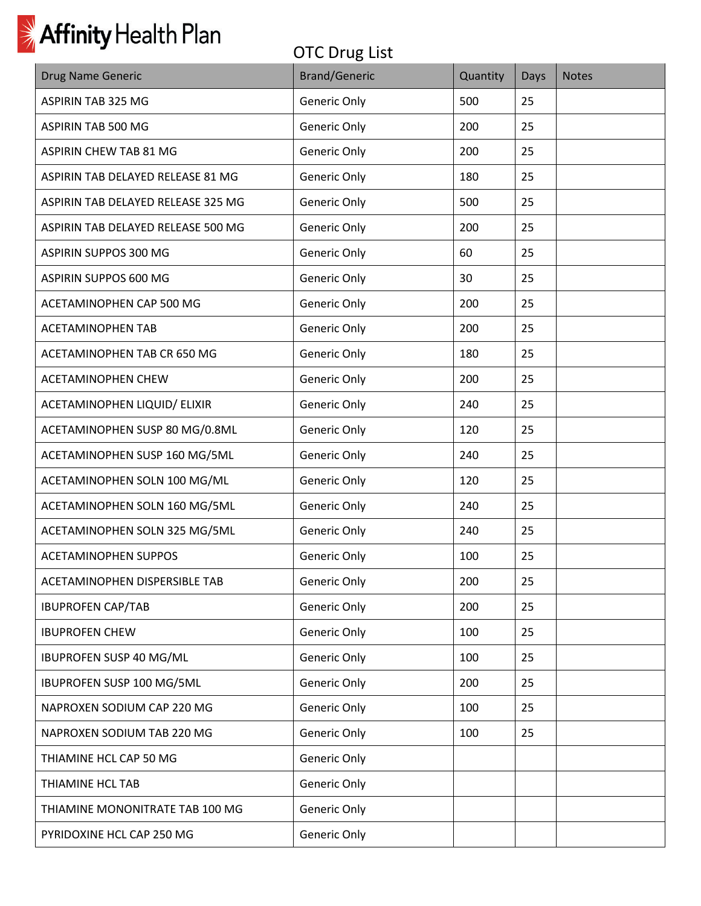

| <b>Drug Name Generic</b>           | <b>Brand/Generic</b> | Quantity | Days | <b>Notes</b> |
|------------------------------------|----------------------|----------|------|--------------|
| <b>ASPIRIN TAB 325 MG</b>          | Generic Only         | 500      | 25   |              |
| ASPIRIN TAB 500 MG                 | Generic Only         | 200      | 25   |              |
| <b>ASPIRIN CHEW TAB 81 MG</b>      | Generic Only         | 200      | 25   |              |
| ASPIRIN TAB DELAYED RELEASE 81 MG  | Generic Only         | 180      | 25   |              |
| ASPIRIN TAB DELAYED RELEASE 325 MG | Generic Only         | 500      | 25   |              |
| ASPIRIN TAB DELAYED RELEASE 500 MG | Generic Only         | 200      | 25   |              |
| ASPIRIN SUPPOS 300 MG              | Generic Only         | 60       | 25   |              |
| ASPIRIN SUPPOS 600 MG              | Generic Only         | 30       | 25   |              |
| ACETAMINOPHEN CAP 500 MG           | Generic Only         | 200      | 25   |              |
| <b>ACETAMINOPHEN TAB</b>           | Generic Only         | 200      | 25   |              |
| ACETAMINOPHEN TAB CR 650 MG        | Generic Only         | 180      | 25   |              |
| <b>ACETAMINOPHEN CHEW</b>          | Generic Only         | 200      | 25   |              |
| ACETAMINOPHEN LIQUID/ ELIXIR       | Generic Only         | 240      | 25   |              |
| ACETAMINOPHEN SUSP 80 MG/0.8ML     | Generic Only         | 120      | 25   |              |
| ACETAMINOPHEN SUSP 160 MG/5ML      | Generic Only         | 240      | 25   |              |
| ACETAMINOPHEN SOLN 100 MG/ML       | Generic Only         | 120      | 25   |              |
| ACETAMINOPHEN SOLN 160 MG/5ML      | Generic Only         | 240      | 25   |              |
| ACETAMINOPHEN SOLN 325 MG/5ML      | Generic Only         | 240      | 25   |              |
| <b>ACETAMINOPHEN SUPPOS</b>        | Generic Only         | 100      | 25   |              |
| ACETAMINOPHEN DISPERSIBLE TAB      | Generic Only         | 200      | 25   |              |
| <b>IBUPROFEN CAP/TAB</b>           | Generic Only         | 200      | 25   |              |
| <b>IBUPROFEN CHEW</b>              | Generic Only         | 100      | 25   |              |
| IBUPROFEN SUSP 40 MG/ML            | Generic Only         | 100      | 25   |              |
| IBUPROFEN SUSP 100 MG/5ML          | Generic Only         | 200      | 25   |              |
| NAPROXEN SODIUM CAP 220 MG         | Generic Only         | 100      | 25   |              |
| NAPROXEN SODIUM TAB 220 MG         | Generic Only         | 100      | 25   |              |
| THIAMINE HCL CAP 50 MG             | Generic Only         |          |      |              |
| THIAMINE HCL TAB                   | Generic Only         |          |      |              |
| THIAMINE MONONITRATE TAB 100 MG    | Generic Only         |          |      |              |
| PYRIDOXINE HCL CAP 250 MG          | Generic Only         |          |      |              |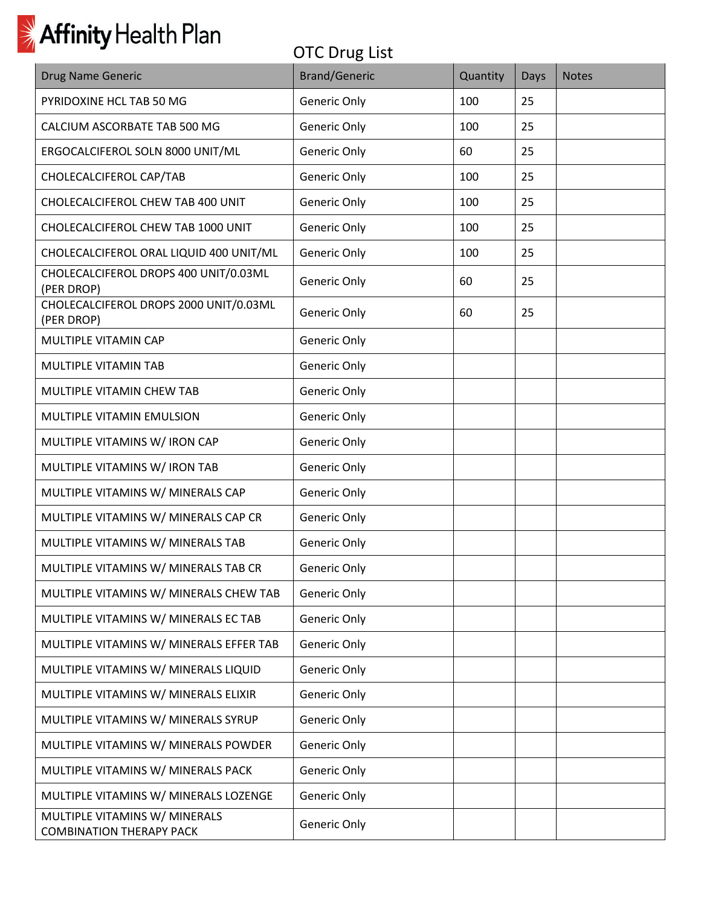| Drug Name Generic                                                | <b>Brand/Generic</b> | Quantity | Days | <b>Notes</b> |
|------------------------------------------------------------------|----------------------|----------|------|--------------|
| PYRIDOXINE HCL TAB 50 MG                                         | Generic Only         | 100      | 25   |              |
| CALCIUM ASCORBATE TAB 500 MG                                     | Generic Only         | 100      | 25   |              |
| ERGOCALCIFEROL SOLN 8000 UNIT/ML                                 | Generic Only         | 60       | 25   |              |
| CHOLECALCIFEROL CAP/TAB                                          | Generic Only         | 100      | 25   |              |
| CHOLECALCIFEROL CHEW TAB 400 UNIT                                | Generic Only         | 100      | 25   |              |
| CHOLECALCIFEROL CHEW TAB 1000 UNIT                               | Generic Only         | 100      | 25   |              |
| CHOLECALCIFEROL ORAL LIQUID 400 UNIT/ML                          | Generic Only         | 100      | 25   |              |
| CHOLECALCIFEROL DROPS 400 UNIT/0.03ML<br>(PER DROP)              | Generic Only         | 60       | 25   |              |
| CHOLECALCIFEROL DROPS 2000 UNIT/0.03ML<br>(PER DROP)             | Generic Only         | 60       | 25   |              |
| MULTIPLE VITAMIN CAP                                             | Generic Only         |          |      |              |
| MULTIPLE VITAMIN TAB                                             | Generic Only         |          |      |              |
| MULTIPLE VITAMIN CHEW TAB                                        | Generic Only         |          |      |              |
| MULTIPLE VITAMIN EMULSION                                        | Generic Only         |          |      |              |
| MULTIPLE VITAMINS W/ IRON CAP                                    | Generic Only         |          |      |              |
| MULTIPLE VITAMINS W/ IRON TAB                                    | Generic Only         |          |      |              |
| MULTIPLE VITAMINS W/ MINERALS CAP                                | Generic Only         |          |      |              |
| MULTIPLE VITAMINS W/ MINERALS CAP CR                             | Generic Only         |          |      |              |
| MULTIPLE VITAMINS W/ MINERALS TAB                                | Generic Only         |          |      |              |
| MULTIPLE VITAMINS W/ MINERALS TAB CR                             | Generic Only         |          |      |              |
| MULTIPLE VITAMINS W/ MINERALS CHEW TAB                           | Generic Only         |          |      |              |
| MULTIPLE VITAMINS W/ MINERALS ECTAB                              | Generic Only         |          |      |              |
| MULTIPLE VITAMINS W/ MINERALS EFFER TAB                          | Generic Only         |          |      |              |
| MULTIPLE VITAMINS W/ MINERALS LIQUID                             | Generic Only         |          |      |              |
| MULTIPLE VITAMINS W/ MINERALS ELIXIR                             | Generic Only         |          |      |              |
| MULTIPLE VITAMINS W/ MINERALS SYRUP                              | Generic Only         |          |      |              |
| MULTIPLE VITAMINS W/ MINERALS POWDER                             | Generic Only         |          |      |              |
| MULTIPLE VITAMINS W/ MINERALS PACK                               | Generic Only         |          |      |              |
| MULTIPLE VITAMINS W/ MINERALS LOZENGE                            | Generic Only         |          |      |              |
| MULTIPLE VITAMINS W/ MINERALS<br><b>COMBINATION THERAPY PACK</b> | Generic Only         |          |      |              |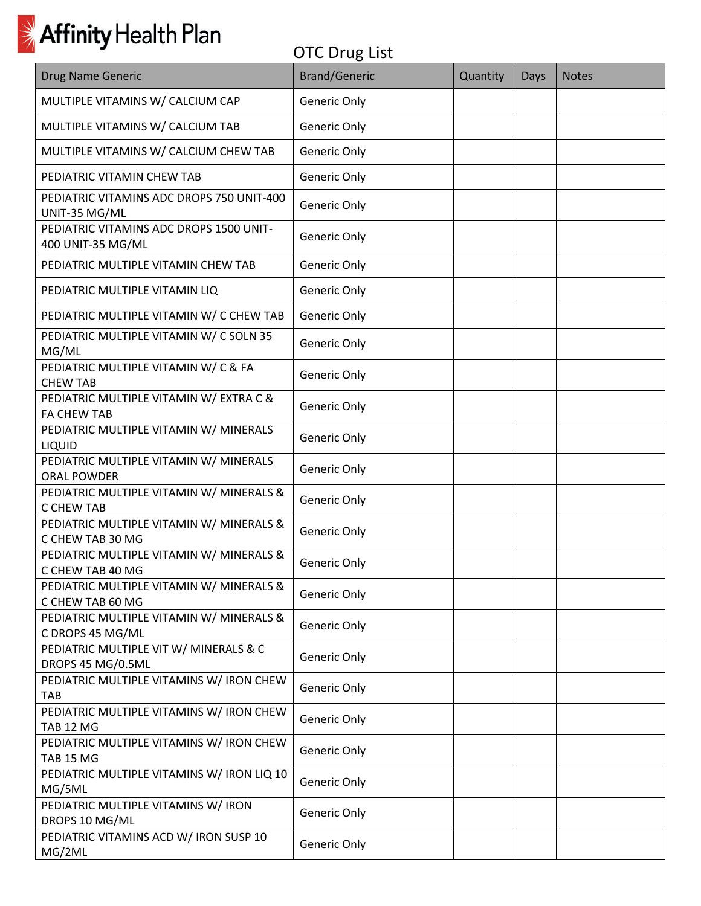| Drug Name Generic                                             | <b>Brand/Generic</b> | Quantity | Days | <b>Notes</b> |
|---------------------------------------------------------------|----------------------|----------|------|--------------|
| MULTIPLE VITAMINS W/ CALCIUM CAP                              | Generic Only         |          |      |              |
| MULTIPLE VITAMINS W/ CALCIUM TAB                              | Generic Only         |          |      |              |
| MULTIPLE VITAMINS W/ CALCIUM CHEW TAB                         | Generic Only         |          |      |              |
| PEDIATRIC VITAMIN CHEW TAB                                    | Generic Only         |          |      |              |
| PEDIATRIC VITAMINS ADC DROPS 750 UNIT-400<br>UNIT-35 MG/ML    | Generic Only         |          |      |              |
| PEDIATRIC VITAMINS ADC DROPS 1500 UNIT-<br>400 UNIT-35 MG/ML  | Generic Only         |          |      |              |
| PEDIATRIC MULTIPLE VITAMIN CHEW TAB                           | Generic Only         |          |      |              |
| PEDIATRIC MULTIPLE VITAMIN LIQ                                | Generic Only         |          |      |              |
| PEDIATRIC MULTIPLE VITAMIN W/ C CHEW TAB                      | Generic Only         |          |      |              |
| PEDIATRIC MULTIPLE VITAMIN W/ C SOLN 35<br>MG/ML              | Generic Only         |          |      |              |
| PEDIATRIC MULTIPLE VITAMIN W/ C & FA<br><b>CHEW TAB</b>       | Generic Only         |          |      |              |
| PEDIATRIC MULTIPLE VITAMIN W/ EXTRA C &<br><b>FA CHEW TAB</b> | Generic Only         |          |      |              |
| PEDIATRIC MULTIPLE VITAMIN W/ MINERALS<br>LIQUID              | Generic Only         |          |      |              |
| PEDIATRIC MULTIPLE VITAMIN W/ MINERALS<br><b>ORAL POWDER</b>  | Generic Only         |          |      |              |
| PEDIATRIC MULTIPLE VITAMIN W/ MINERALS &<br>C CHEW TAB        | Generic Only         |          |      |              |
| PEDIATRIC MULTIPLE VITAMIN W/ MINERALS &<br>C CHEW TAB 30 MG  | Generic Only         |          |      |              |
| PEDIATRIC MULTIPLE VITAMIN W/ MINERALS &                      | Generic Only         |          |      |              |
| C CHEW TAB 40 MG<br>PEDIATRIC MULTIPLE VITAMIN W/ MINERALS &  | Generic Only         |          |      |              |
| C CHEW TAB 60 MG<br>PEDIATRIC MULTIPLE VITAMIN W/ MINERALS &  |                      |          |      |              |
| C DROPS 45 MG/ML                                              | Generic Only         |          |      |              |
| PEDIATRIC MULTIPLE VIT W/ MINERALS & C<br>DROPS 45 MG/0.5ML   | Generic Only         |          |      |              |
| PEDIATRIC MULTIPLE VITAMINS W/ IRON CHEW<br><b>TAB</b>        | Generic Only         |          |      |              |
| PEDIATRIC MULTIPLE VITAMINS W/ IRON CHEW<br><b>TAB 12 MG</b>  | Generic Only         |          |      |              |
| PEDIATRIC MULTIPLE VITAMINS W/ IRON CHEW<br><b>TAB 15 MG</b>  | Generic Only         |          |      |              |
| PEDIATRIC MULTIPLE VITAMINS W/ IRON LIQ 10<br>MG/5ML          | Generic Only         |          |      |              |
| PEDIATRIC MULTIPLE VITAMINS W/ IRON<br>DROPS 10 MG/ML         | Generic Only         |          |      |              |
| PEDIATRIC VITAMINS ACD W/ IRON SUSP 10<br>MG/2ML              | Generic Only         |          |      |              |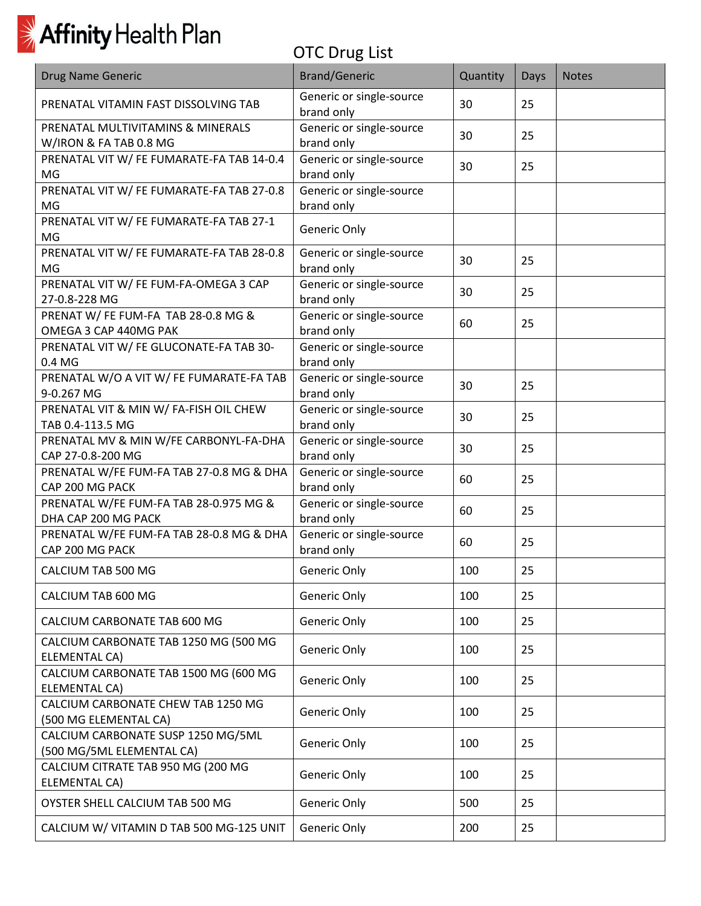

| <b>Drug Name Generic</b>                                        | <b>Brand/Generic</b>                   | Quantity | Days | <b>Notes</b> |
|-----------------------------------------------------------------|----------------------------------------|----------|------|--------------|
| PRENATAL VITAMIN FAST DISSOLVING TAB                            | Generic or single-source<br>brand only | 30       | 25   |              |
| PRENATAL MULTIVITAMINS & MINERALS<br>W/IRON & FA TAB 0.8 MG     | Generic or single-source<br>brand only | 30       | 25   |              |
| PRENATAL VIT W/ FE FUMARATE-FA TAB 14-0.4<br>MG                 | Generic or single-source<br>brand only | 30       | 25   |              |
| PRENATAL VIT W/ FE FUMARATE-FA TAB 27-0.8<br>MG                 | Generic or single-source<br>brand only |          |      |              |
| PRENATAL VIT W/ FE FUMARATE-FA TAB 27-1<br>MG                   | Generic Only                           |          |      |              |
| PRENATAL VIT W/ FE FUMARATE-FA TAB 28-0.8<br>MG                 | Generic or single-source<br>brand only | 30       | 25   |              |
| PRENATAL VIT W/ FE FUM-FA-OMEGA 3 CAP<br>27-0.8-228 MG          | Generic or single-source<br>brand only | 30       | 25   |              |
| PRENAT W/ FE FUM-FA TAB 28-0.8 MG &<br>OMEGA 3 CAP 440MG PAK    | Generic or single-source<br>brand only | 60       | 25   |              |
| PRENATAL VIT W/ FE GLUCONATE-FA TAB 30-<br>0.4 MG               | Generic or single-source<br>brand only |          |      |              |
| PRENATAL W/O A VIT W/ FE FUMARATE-FA TAB<br>9-0.267 MG          | Generic or single-source<br>brand only | 30       | 25   |              |
| PRENATAL VIT & MIN W/ FA-FISH OIL CHEW<br>TAB 0.4-113.5 MG      | Generic or single-source<br>brand only | 30       | 25   |              |
| PRENATAL MV & MIN W/FE CARBONYL-FA-DHA<br>CAP 27-0.8-200 MG     | Generic or single-source<br>brand only | 30       | 25   |              |
| PRENATAL W/FE FUM-FA TAB 27-0.8 MG & DHA<br>CAP 200 MG PACK     | Generic or single-source<br>brand only | 60       | 25   |              |
| PRENATAL W/FE FUM-FA TAB 28-0.975 MG &<br>DHA CAP 200 MG PACK   | Generic or single-source<br>brand only | 60       | 25   |              |
| PRENATAL W/FE FUM-FA TAB 28-0.8 MG & DHA<br>CAP 200 MG PACK     | Generic or single-source<br>brand only | 60       | 25   |              |
| CALCIUM TAB 500 MG                                              | Generic Only                           | 100      | 25   |              |
| CALCIUM TAB 600 MG                                              | Generic Only                           | 100      | 25   |              |
| CALCIUM CARBONATE TAB 600 MG                                    | Generic Only                           | 100      | 25   |              |
| CALCIUM CARBONATE TAB 1250 MG (500 MG<br><b>ELEMENTAL CA)</b>   | Generic Only                           | 100      | 25   |              |
| CALCIUM CARBONATE TAB 1500 MG (600 MG<br><b>ELEMENTAL CA)</b>   | Generic Only                           | 100      | 25   |              |
| CALCIUM CARBONATE CHEW TAB 1250 MG<br>(500 MG ELEMENTAL CA)     | Generic Only                           | 100      | 25   |              |
| CALCIUM CARBONATE SUSP 1250 MG/5ML<br>(500 MG/5ML ELEMENTAL CA) | Generic Only                           | 100      | 25   |              |
| CALCIUM CITRATE TAB 950 MG (200 MG<br>ELEMENTAL CA)             | Generic Only                           | 100      | 25   |              |
| OYSTER SHELL CALCIUM TAB 500 MG                                 | Generic Only                           | 500      | 25   |              |
| CALCIUM W/ VITAMIN D TAB 500 MG-125 UNIT                        | Generic Only                           | 200      | 25   |              |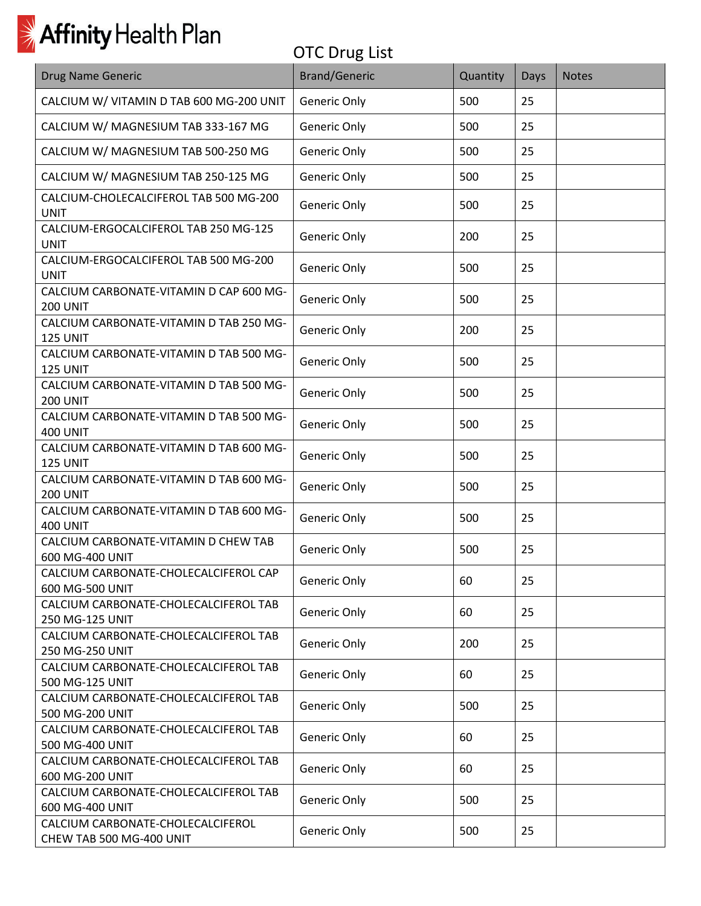| <b>Drug Name Generic</b>                                      | <b>Brand/Generic</b> | Quantity | Days | <b>Notes</b> |
|---------------------------------------------------------------|----------------------|----------|------|--------------|
| CALCIUM W/ VITAMIN D TAB 600 MG-200 UNIT                      | Generic Only         | 500      | 25   |              |
| CALCIUM W/ MAGNESIUM TAB 333-167 MG                           | Generic Only         | 500      | 25   |              |
| CALCIUM W/ MAGNESIUM TAB 500-250 MG                           | Generic Only         | 500      | 25   |              |
| CALCIUM W/ MAGNESIUM TAB 250-125 MG                           | Generic Only         | 500      | 25   |              |
| CALCIUM-CHOLECALCIFEROL TAB 500 MG-200<br><b>UNIT</b>         | Generic Only         | 500      | 25   |              |
| CALCIUM-ERGOCALCIFEROL TAB 250 MG-125<br><b>UNIT</b>          | Generic Only         | 200      | 25   |              |
| CALCIUM-ERGOCALCIFEROL TAB 500 MG-200<br><b>UNIT</b>          | Generic Only         | 500      | 25   |              |
| CALCIUM CARBONATE-VITAMIN D CAP 600 MG-<br><b>200 UNIT</b>    | Generic Only         | 500      | 25   |              |
| CALCIUM CARBONATE-VITAMIN D TAB 250 MG-<br>125 UNIT           | Generic Only         | 200      | 25   |              |
| CALCIUM CARBONATE-VITAMIN D TAB 500 MG-<br>125 UNIT           | Generic Only         | 500      | 25   |              |
| CALCIUM CARBONATE-VITAMIN D TAB 500 MG-<br><b>200 UNIT</b>    | Generic Only         | 500      | 25   |              |
| CALCIUM CARBONATE-VITAMIN D TAB 500 MG-<br><b>400 UNIT</b>    | Generic Only         | 500      | 25   |              |
| CALCIUM CARBONATE-VITAMIN D TAB 600 MG-<br>125 UNIT           | Generic Only         | 500      | 25   |              |
| CALCIUM CARBONATE-VITAMIN D TAB 600 MG-<br><b>200 UNIT</b>    | Generic Only         | 500      | 25   |              |
| CALCIUM CARBONATE-VITAMIN D TAB 600 MG-<br><b>400 UNIT</b>    | Generic Only         | 500      | 25   |              |
| CALCIUM CARBONATE-VITAMIN D CHEW TAB<br>600 MG-400 UNIT       | Generic Only         | 500      | 25   |              |
| CALCIUM CARBONATE-CHOLECALCIFEROL CAP<br>600 MG-500 UNIT      | Generic Only         | 60       | 25   |              |
| CALCIUM CARBONATE-CHOLECALCIFEROL TAB<br>250 MG-125 UNIT      | Generic Only         | 60       | 25   |              |
| CALCIUM CARBONATE-CHOLECALCIFEROL TAB<br>250 MG-250 UNIT      | Generic Only         | 200      | 25   |              |
| CALCIUM CARBONATE-CHOLECALCIFEROL TAB<br>500 MG-125 UNIT      | Generic Only         | 60       | 25   |              |
| CALCIUM CARBONATE-CHOLECALCIFEROL TAB<br>500 MG-200 UNIT      | Generic Only         | 500      | 25   |              |
| CALCIUM CARBONATE-CHOLECALCIFEROL TAB<br>500 MG-400 UNIT      | Generic Only         | 60       | 25   |              |
| CALCIUM CARBONATE-CHOLECALCIFEROL TAB<br>600 MG-200 UNIT      | Generic Only         | 60       | 25   |              |
| CALCIUM CARBONATE-CHOLECALCIFEROL TAB<br>600 MG-400 UNIT      | Generic Only         | 500      | 25   |              |
| CALCIUM CARBONATE-CHOLECALCIFEROL<br>CHEW TAB 500 MG-400 UNIT | Generic Only         | 500      | 25   |              |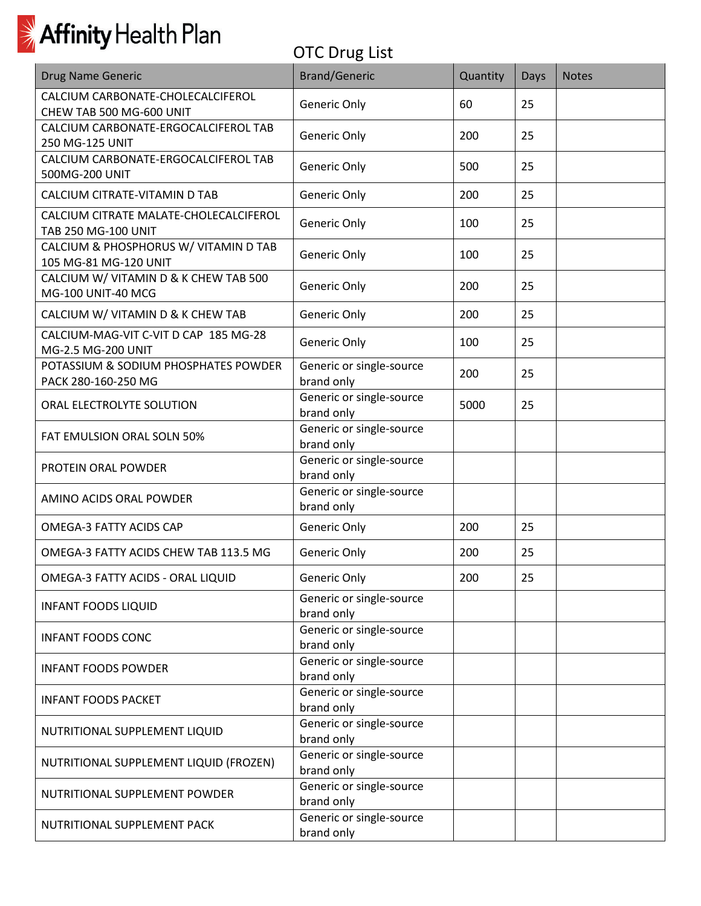

| <b>Drug Name Generic</b>                                       | <b>Brand/Generic</b>                   | Quantity | Days | <b>Notes</b> |
|----------------------------------------------------------------|----------------------------------------|----------|------|--------------|
| CALCIUM CARBONATE-CHOLECALCIFEROL<br>CHEW TAB 500 MG-600 UNIT  | Generic Only                           | 60       | 25   |              |
| CALCIUM CARBONATE-ERGOCALCIFEROL TAB<br>250 MG-125 UNIT        | Generic Only                           | 200      | 25   |              |
| CALCIUM CARBONATE-ERGOCALCIFEROL TAB<br>500MG-200 UNIT         | Generic Only                           | 500      | 25   |              |
| CALCIUM CITRATE-VITAMIN D TAB                                  | Generic Only                           | 200      | 25   |              |
| CALCIUM CITRATE MALATE-CHOLECALCIFEROL<br>TAB 250 MG-100 UNIT  | Generic Only                           | 100      | 25   |              |
| CALCIUM & PHOSPHORUS W/ VITAMIN D TAB<br>105 MG-81 MG-120 UNIT | Generic Only                           | 100      | 25   |              |
| CALCIUM W/ VITAMIN D & K CHEW TAB 500<br>MG-100 UNIT-40 MCG    | Generic Only                           | 200      | 25   |              |
| CALCIUM W/ VITAMIN D & K CHEW TAB                              | Generic Only                           | 200      | 25   |              |
| CALCIUM-MAG-VIT C-VIT D CAP 185 MG-28<br>MG-2.5 MG-200 UNIT    | Generic Only                           | 100      | 25   |              |
| POTASSIUM & SODIUM PHOSPHATES POWDER<br>PACK 280-160-250 MG    | Generic or single-source<br>brand only | 200      | 25   |              |
| ORAL ELECTROLYTE SOLUTION                                      | Generic or single-source<br>brand only | 5000     | 25   |              |
| FAT EMULSION ORAL SOLN 50%                                     | Generic or single-source<br>brand only |          |      |              |
| PROTEIN ORAL POWDER                                            | Generic or single-source<br>brand only |          |      |              |
| AMINO ACIDS ORAL POWDER                                        | Generic or single-source<br>brand only |          |      |              |
| OMEGA-3 FATTY ACIDS CAP                                        | Generic Only                           | 200      | 25   |              |
| OMEGA-3 FATTY ACIDS CHEW TAB 113.5 MG                          | Generic Only                           | 200      | 25   |              |
| OMEGA-3 FATTY ACIDS - ORAL LIQUID                              | Generic Only                           | 200      | 25   |              |
| <b>INFANT FOODS LIQUID</b>                                     | Generic or single-source<br>brand only |          |      |              |
| <b>INFANT FOODS CONC</b>                                       | Generic or single-source<br>brand only |          |      |              |
| <b>INFANT FOODS POWDER</b>                                     | Generic or single-source<br>brand only |          |      |              |
| <b>INFANT FOODS PACKET</b>                                     | Generic or single-source<br>brand only |          |      |              |
| NUTRITIONAL SUPPLEMENT LIQUID                                  | Generic or single-source<br>brand only |          |      |              |
| NUTRITIONAL SUPPLEMENT LIQUID (FROZEN)                         | Generic or single-source<br>brand only |          |      |              |
| NUTRITIONAL SUPPLEMENT POWDER                                  | Generic or single-source<br>brand only |          |      |              |
| NUTRITIONAL SUPPLEMENT PACK                                    | Generic or single-source<br>brand only |          |      |              |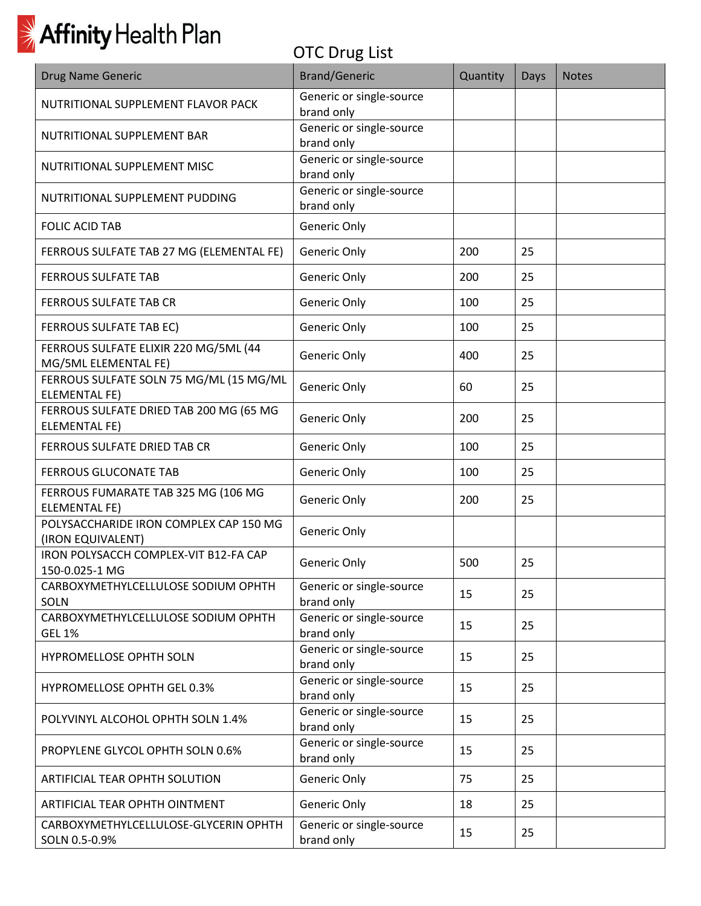| Drug Name Generic                                               | <b>Brand/Generic</b>                   | Quantity | Days | <b>Notes</b> |
|-----------------------------------------------------------------|----------------------------------------|----------|------|--------------|
| NUTRITIONAL SUPPLEMENT FLAVOR PACK                              | Generic or single-source<br>brand only |          |      |              |
| NUTRITIONAL SUPPLEMENT BAR                                      | Generic or single-source<br>brand only |          |      |              |
| NUTRITIONAL SUPPLEMENT MISC                                     | Generic or single-source<br>brand only |          |      |              |
| NUTRITIONAL SUPPLEMENT PUDDING                                  | Generic or single-source<br>brand only |          |      |              |
| <b>FOLIC ACID TAB</b>                                           | Generic Only                           |          |      |              |
| FERROUS SULFATE TAB 27 MG (ELEMENTAL FE)                        | Generic Only                           | 200      | 25   |              |
| <b>FERROUS SULFATE TAB</b>                                      | Generic Only                           | 200      | 25   |              |
| <b>FERROUS SULFATE TAB CR</b>                                   | Generic Only                           | 100      | 25   |              |
| FERROUS SULFATE TAB EC)                                         | Generic Only                           | 100      | 25   |              |
| FERROUS SULFATE ELIXIR 220 MG/5ML (44<br>MG/5ML ELEMENTAL FE)   | Generic Only                           | 400      | 25   |              |
| FERROUS SULFATE SOLN 75 MG/ML (15 MG/ML<br><b>ELEMENTAL FE)</b> | Generic Only                           | 60       | 25   |              |
| FERROUS SULFATE DRIED TAB 200 MG (65 MG<br><b>ELEMENTAL FE)</b> | Generic Only                           | 200      | 25   |              |
| FERROUS SULFATE DRIED TAB CR                                    | Generic Only                           | 100      | 25   |              |
| <b>FERROUS GLUCONATE TAB</b>                                    | Generic Only                           | 100      | 25   |              |
| FERROUS FUMARATE TAB 325 MG (106 MG<br><b>ELEMENTAL FE)</b>     | Generic Only                           | 200      | 25   |              |
| POLYSACCHARIDE IRON COMPLEX CAP 150 MG<br>(IRON EQUIVALENT)     | Generic Only                           |          |      |              |
| IRON POLYSACCH COMPLEX-VIT B12-FA CAP<br>150-0.025-1 MG         | Generic Only                           | 500      | 25   |              |
| CARBOXYMETHYLCELLULOSE SODIUM OPHTH<br><b>SOLN</b>              | Generic or single-source<br>brand only | 15       | 25   |              |
| CARBOXYMETHYLCELLULOSE SODIUM OPHTH<br><b>GEL 1%</b>            | Generic or single-source<br>brand only | 15       | 25   |              |
| HYPROMELLOSE OPHTH SOLN                                         | Generic or single-source<br>brand only | 15       | 25   |              |
| HYPROMELLOSE OPHTH GEL 0.3%                                     | Generic or single-source<br>brand only | 15       | 25   |              |
| POLYVINYL ALCOHOL OPHTH SOLN 1.4%                               | Generic or single-source<br>brand only | 15       | 25   |              |
| PROPYLENE GLYCOL OPHTH SOLN 0.6%                                | Generic or single-source<br>brand only | 15       | 25   |              |
| ARTIFICIAL TEAR OPHTH SOLUTION                                  | Generic Only                           | 75       | 25   |              |
| ARTIFICIAL TEAR OPHTH OINTMENT                                  | Generic Only                           | 18       | 25   |              |
| CARBOXYMETHYLCELLULOSE-GLYCERIN OPHTH<br>SOLN 0.5-0.9%          | Generic or single-source<br>brand only | 15       | 25   |              |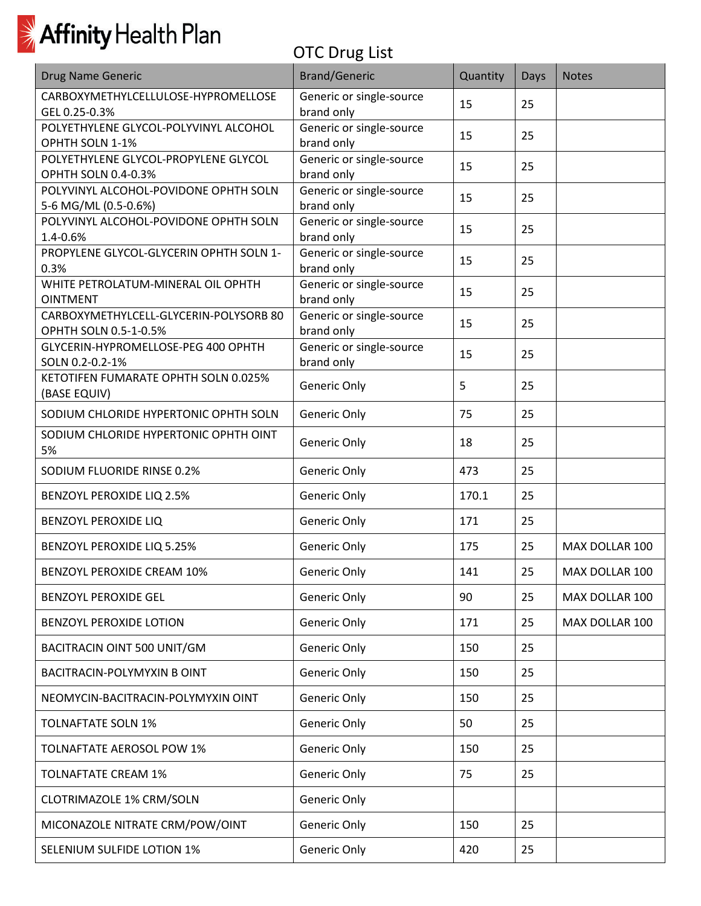

| <b>Drug Name Generic</b>                                        | <b>Brand/Generic</b>                   | Quantity | Days | <b>Notes</b>   |
|-----------------------------------------------------------------|----------------------------------------|----------|------|----------------|
| CARBOXYMETHYLCELLULOSE-HYPROMELLOSE<br>GEL 0.25-0.3%            | Generic or single-source<br>brand only | 15       | 25   |                |
| POLYETHYLENE GLYCOL-POLYVINYL ALCOHOL<br>OPHTH SOLN 1-1%        | Generic or single-source<br>brand only | 15       | 25   |                |
| POLYETHYLENE GLYCOL-PROPYLENE GLYCOL<br>OPHTH SOLN 0.4-0.3%     | Generic or single-source<br>brand only | 15       | 25   |                |
| POLYVINYL ALCOHOL-POVIDONE OPHTH SOLN<br>5-6 MG/ML (0.5-0.6%)   | Generic or single-source<br>brand only | 15       | 25   |                |
| POLYVINYL ALCOHOL-POVIDONE OPHTH SOLN<br>1.4-0.6%               | Generic or single-source<br>brand only | 15       | 25   |                |
| PROPYLENE GLYCOL-GLYCERIN OPHTH SOLN 1-<br>0.3%                 | Generic or single-source<br>brand only | 15       | 25   |                |
| WHITE PETROLATUM-MINERAL OIL OPHTH<br><b>OINTMENT</b>           | Generic or single-source<br>brand only | 15       | 25   |                |
| CARBOXYMETHYLCELL-GLYCERIN-POLYSORB 80<br>OPHTH SOLN 0.5-1-0.5% | Generic or single-source<br>brand only | 15       | 25   |                |
| GLYCERIN-HYPROMELLOSE-PEG 400 OPHTH<br>SOLN 0.2-0.2-1%          | Generic or single-source<br>brand only | 15       | 25   |                |
| KETOTIFEN FUMARATE OPHTH SOLN 0.025%<br>(BASE EQUIV)            | Generic Only                           | 5        | 25   |                |
| SODIUM CHLORIDE HYPERTONIC OPHTH SOLN                           | Generic Only                           | 75       | 25   |                |
| SODIUM CHLORIDE HYPERTONIC OPHTH OINT<br>5%                     | Generic Only                           | 18       | 25   |                |
| SODIUM FLUORIDE RINSE 0.2%                                      | Generic Only                           | 473      | 25   |                |
| BENZOYL PEROXIDE LIQ 2.5%                                       | Generic Only                           | 170.1    | 25   |                |
| <b>BENZOYL PEROXIDE LIQ</b>                                     | Generic Only                           | 171      | 25   |                |
| BENZOYL PEROXIDE LIQ 5.25%                                      | Generic Only                           | 175      | 25   | MAX DOLLAR 100 |
| BENZOYL PEROXIDE CREAM 10%                                      | Generic Only                           | 141      | 25   | MAX DOLLAR 100 |
| <b>BENZOYL PEROXIDE GEL</b>                                     | Generic Only                           | 90       | 25   | MAX DOLLAR 100 |
| <b>BENZOYL PEROXIDE LOTION</b>                                  | Generic Only                           | 171      | 25   | MAX DOLLAR 100 |
| BACITRACIN OINT 500 UNIT/GM                                     | Generic Only                           | 150      | 25   |                |
| BACITRACIN-POLYMYXIN B OINT                                     | Generic Only                           | 150      | 25   |                |
| NEOMYCIN-BACITRACIN-POLYMYXIN OINT                              | Generic Only                           | 150      | 25   |                |
| <b>TOLNAFTATE SOLN 1%</b>                                       | Generic Only                           | 50       | 25   |                |
| TOLNAFTATE AEROSOL POW 1%                                       | Generic Only                           | 150      | 25   |                |
| <b>TOLNAFTATE CREAM 1%</b>                                      | Generic Only                           | 75       | 25   |                |
| CLOTRIMAZOLE 1% CRM/SOLN                                        | Generic Only                           |          |      |                |
| MICONAZOLE NITRATE CRM/POW/OINT                                 | Generic Only                           | 150      | 25   |                |
| SELENIUM SULFIDE LOTION 1%                                      | Generic Only                           | 420      | 25   |                |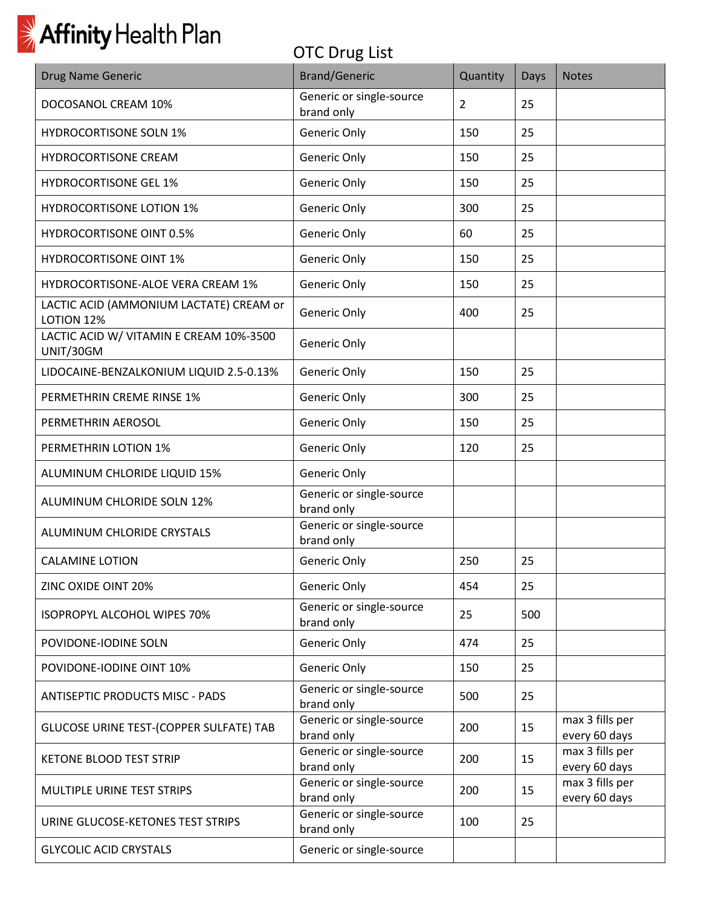| <b>Drug Name Generic</b>                                     | <b>Brand/Generic</b>                   | Quantity       | <b>Days</b> | <b>Notes</b>                     |
|--------------------------------------------------------------|----------------------------------------|----------------|-------------|----------------------------------|
| DOCOSANOL CREAM 10%                                          | Generic or single-source<br>brand only | $\overline{2}$ | 25          |                                  |
| <b>HYDROCORTISONE SOLN 1%</b>                                | Generic Only                           | 150            | 25          |                                  |
| HYDROCORTISONE CREAM                                         | Generic Only                           | 150            | 25          |                                  |
| <b>HYDROCORTISONE GEL 1%</b>                                 | Generic Only                           | 150            | 25          |                                  |
| <b>HYDROCORTISONE LOTION 1%</b>                              | Generic Only                           | 300            | 25          |                                  |
| <b>HYDROCORTISONE OINT 0.5%</b>                              | Generic Only                           | 60             | 25          |                                  |
| <b>HYDROCORTISONE OINT 1%</b>                                | Generic Only                           | 150            | 25          |                                  |
| HYDROCORTISONE-ALOE VERA CREAM 1%                            | Generic Only                           | 150            | 25          |                                  |
| LACTIC ACID (AMMONIUM LACTATE) CREAM or<br><b>LOTION 12%</b> | Generic Only                           | 400            | 25          |                                  |
| LACTIC ACID W/ VITAMIN E CREAM 10%-3500<br>UNIT/30GM         | Generic Only                           |                |             |                                  |
| LIDOCAINE-BENZALKONIUM LIQUID 2.5-0.13%                      | Generic Only                           | 150            | 25          |                                  |
| PERMETHRIN CREME RINSE 1%                                    | Generic Only                           | 300            | 25          |                                  |
| PERMETHRIN AEROSOL                                           | Generic Only                           | 150            | 25          |                                  |
| PERMETHRIN LOTION 1%                                         | Generic Only                           | 120            | 25          |                                  |
| ALUMINUM CHLORIDE LIQUID 15%                                 | Generic Only                           |                |             |                                  |
| ALUMINUM CHLORIDE SOLN 12%                                   | Generic or single-source<br>brand only |                |             |                                  |
| ALUMINUM CHLORIDE CRYSTALS                                   | Generic or single-source<br>brand only |                |             |                                  |
| <b>CALAMINE LOTION</b>                                       | Generic Only                           | 250            | 25          |                                  |
| ZINC OXIDE OINT 20%                                          | Generic Only                           | 454            | 25          |                                  |
| ISOPROPYL ALCOHOL WIPES 70%                                  | Generic or single-source<br>brand only | 25             | 500         |                                  |
| POVIDONE-IODINE SOLN                                         | Generic Only                           | 474            | 25          |                                  |
| POVIDONE-IODINE OINT 10%                                     | Generic Only                           | 150            | 25          |                                  |
| <b>ANTISEPTIC PRODUCTS MISC - PADS</b>                       | Generic or single-source<br>brand only | 500            | 25          |                                  |
| GLUCOSE URINE TEST-(COPPER SULFATE) TAB                      | Generic or single-source<br>brand only | 200            | 15          | max 3 fills per<br>every 60 days |
| <b>KETONE BLOOD TEST STRIP</b>                               | Generic or single-source<br>brand only | 200            | 15          | max 3 fills per<br>every 60 days |
| MULTIPLE URINE TEST STRIPS                                   | Generic or single-source<br>brand only | 200            | 15          | max 3 fills per<br>every 60 days |
| URINE GLUCOSE-KETONES TEST STRIPS                            | Generic or single-source<br>brand only | 100            | 25          |                                  |
| <b>GLYCOLIC ACID CRYSTALS</b>                                | Generic or single-source               |                |             |                                  |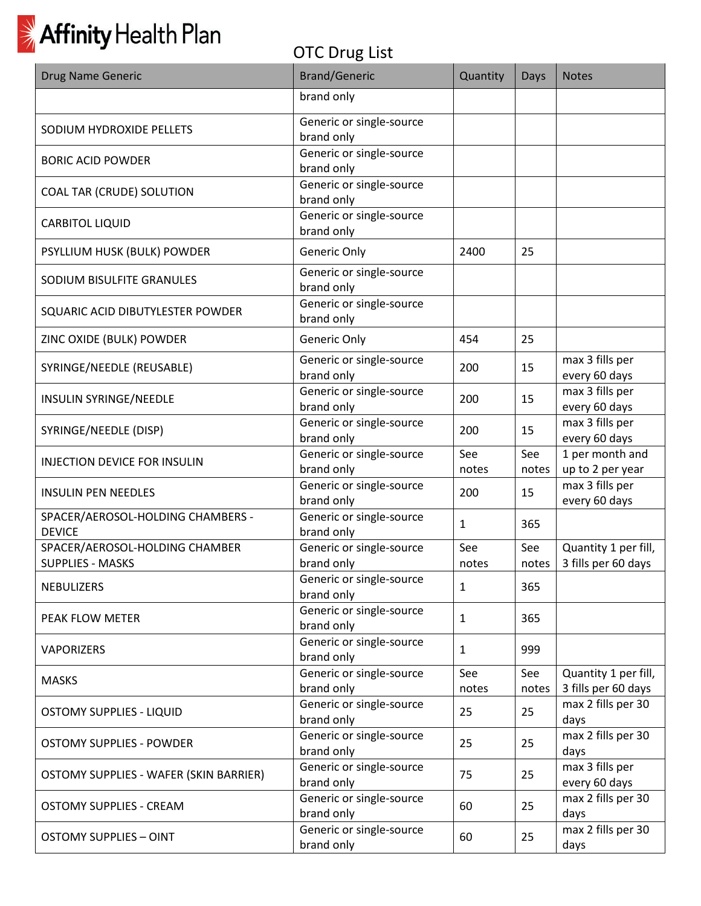

| Drug Name Generic                                  | <b>Brand/Generic</b>                   | Quantity     | Days         | <b>Notes</b>                                |
|----------------------------------------------------|----------------------------------------|--------------|--------------|---------------------------------------------|
|                                                    | brand only                             |              |              |                                             |
| SODIUM HYDROXIDE PELLETS                           | Generic or single-source               |              |              |                                             |
|                                                    | brand only<br>Generic or single-source |              |              |                                             |
| <b>BORIC ACID POWDER</b>                           | brand only                             |              |              |                                             |
|                                                    | Generic or single-source               |              |              |                                             |
| <b>COAL TAR (CRUDE) SOLUTION</b>                   | brand only                             |              |              |                                             |
| <b>CARBITOL LIQUID</b>                             | Generic or single-source<br>brand only |              |              |                                             |
| PSYLLIUM HUSK (BULK) POWDER                        | Generic Only                           | 2400         | 25           |                                             |
| SODIUM BISULFITE GRANULES                          | Generic or single-source<br>brand only |              |              |                                             |
| SQUARIC ACID DIBUTYLESTER POWDER                   | Generic or single-source<br>brand only |              |              |                                             |
| ZINC OXIDE (BULK) POWDER                           | Generic Only                           | 454          | 25           |                                             |
| SYRINGE/NEEDLE (REUSABLE)                          | Generic or single-source<br>brand only | 200          | 15           | max 3 fills per<br>every 60 days            |
| INSULIN SYRINGE/NEEDLE                             | Generic or single-source<br>brand only | 200          | 15           | max 3 fills per<br>every 60 days            |
| SYRINGE/NEEDLE (DISP)                              | Generic or single-source<br>brand only | 200          | 15           | max 3 fills per<br>every 60 days            |
| <b>INJECTION DEVICE FOR INSULIN</b>                | Generic or single-source               | See          | See          | 1 per month and                             |
|                                                    | brand only                             | notes        | notes        | up to 2 per year                            |
| <b>INSULIN PEN NEEDLES</b>                         | Generic or single-source<br>brand only | 200          | 15           | max 3 fills per<br>every 60 days            |
| SPACER/AEROSOL-HOLDING CHAMBERS -<br><b>DEVICE</b> | Generic or single-source<br>brand only | 1            | 365          |                                             |
| SPACER/AEROSOL-HOLDING CHAMBER                     | Generic or single-source               | See          | See          | Quantity 1 per fill,                        |
| <b>SUPPLIES - MASKS</b>                            | brand only                             | notes        | notes        | 3 fills per 60 days                         |
| <b>NEBULIZERS</b>                                  | Generic or single-source<br>brand only | 1            | 365          |                                             |
| PEAK FLOW METER                                    | Generic or single-source<br>brand only | 1            | 365          |                                             |
| <b>VAPORIZERS</b>                                  | Generic or single-source<br>brand only | 1            | 999          |                                             |
| <b>MASKS</b>                                       | Generic or single-source<br>brand only | See<br>notes | See<br>notes | Quantity 1 per fill,<br>3 fills per 60 days |
| <b>OSTOMY SUPPLIES - LIQUID</b>                    | Generic or single-source<br>brand only | 25           | 25           | max 2 fills per 30<br>days                  |
| <b>OSTOMY SUPPLIES - POWDER</b>                    | Generic or single-source<br>brand only | 25           | 25           | max 2 fills per 30<br>days                  |
| OSTOMY SUPPLIES - WAFER (SKIN BARRIER)             | Generic or single-source<br>brand only | 75           | 25           | max 3 fills per<br>every 60 days            |
| <b>OSTOMY SUPPLIES - CREAM</b>                     | Generic or single-source<br>brand only | 60           | 25           | max 2 fills per 30<br>days                  |
| <b>OSTOMY SUPPLIES - OINT</b>                      | Generic or single-source<br>brand only | 60           | 25           | max 2 fills per 30<br>days                  |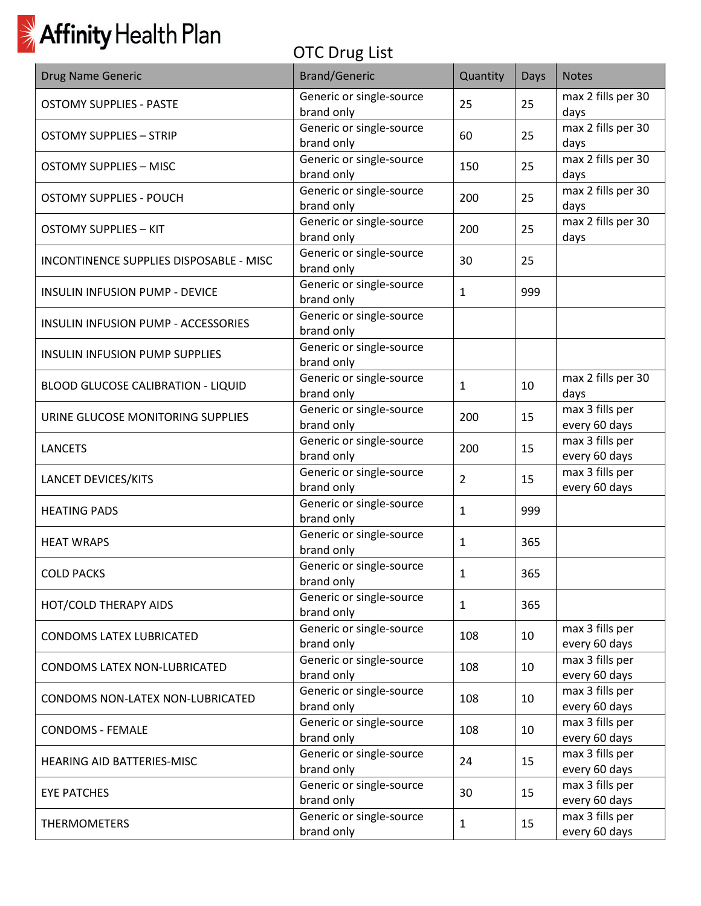| <b>Drug Name Generic</b>                  | <b>Brand/Generic</b>                   | Quantity       | Days | <b>Notes</b>                     |
|-------------------------------------------|----------------------------------------|----------------|------|----------------------------------|
| <b>OSTOMY SUPPLIES - PASTE</b>            | Generic or single-source<br>brand only | 25             | 25   | max 2 fills per 30<br>days       |
| <b>OSTOMY SUPPLIES - STRIP</b>            | Generic or single-source<br>brand only | 60             | 25   | max 2 fills per 30<br>days       |
| <b>OSTOMY SUPPLIES - MISC</b>             | Generic or single-source<br>brand only | 150            | 25   | max 2 fills per 30<br>days       |
| <b>OSTOMY SUPPLIES - POUCH</b>            | Generic or single-source<br>brand only | 200            | 25   | max 2 fills per 30<br>days       |
| <b>OSTOMY SUPPLIES - KIT</b>              | Generic or single-source<br>brand only | 200            | 25   | max 2 fills per 30<br>days       |
| INCONTINENCE SUPPLIES DISPOSABLE - MISC   | Generic or single-source<br>brand only | 30             | 25   |                                  |
| INSULIN INFUSION PUMP - DEVICE            | Generic or single-source<br>brand only | $\mathbf{1}$   | 999  |                                  |
| INSULIN INFUSION PUMP - ACCESSORIES       | Generic or single-source<br>brand only |                |      |                                  |
| <b>INSULIN INFUSION PUMP SUPPLIES</b>     | Generic or single-source<br>brand only |                |      |                                  |
| <b>BLOOD GLUCOSE CALIBRATION - LIQUID</b> | Generic or single-source<br>brand only | $\mathbf{1}$   | 10   | max 2 fills per 30<br>days       |
| URINE GLUCOSE MONITORING SUPPLIES         | Generic or single-source<br>brand only | 200            | 15   | max 3 fills per<br>every 60 days |
| <b>LANCETS</b>                            | Generic or single-source<br>brand only | 200            | 15   | max 3 fills per<br>every 60 days |
| LANCET DEVICES/KITS                       | Generic or single-source<br>brand only | $\overline{2}$ | 15   | max 3 fills per<br>every 60 days |
| <b>HEATING PADS</b>                       | Generic or single-source<br>brand only | $\mathbf{1}$   | 999  |                                  |
| <b>HEAT WRAPS</b>                         | Generic or single-source<br>brand only | $\mathbf{1}$   | 365  |                                  |
| <b>COLD PACKS</b>                         | Generic or single-source<br>brand only | 1              | 365  |                                  |
| HOT/COLD THERAPY AIDS                     | Generic or single-source<br>brand only | $\mathbf{1}$   | 365  |                                  |
| <b>CONDOMS LATEX LUBRICATED</b>           | Generic or single-source<br>brand only | 108            | 10   | max 3 fills per<br>every 60 days |
| <b>CONDOMS LATEX NON-LUBRICATED</b>       | Generic or single-source<br>brand only | 108            | 10   | max 3 fills per<br>every 60 days |
| CONDOMS NON-LATEX NON-LUBRICATED          | Generic or single-source<br>brand only | 108            | 10   | max 3 fills per<br>every 60 days |
| <b>CONDOMS - FEMALE</b>                   | Generic or single-source<br>brand only | 108            | 10   | max 3 fills per<br>every 60 days |
| HEARING AID BATTERIES-MISC                | Generic or single-source<br>brand only | 24             | 15   | max 3 fills per<br>every 60 days |
| <b>EYE PATCHES</b>                        | Generic or single-source<br>brand only | 30             | 15   | max 3 fills per<br>every 60 days |
| <b>THERMOMETERS</b>                       | Generic or single-source<br>brand only | $\mathbf{1}$   | 15   | max 3 fills per<br>every 60 days |